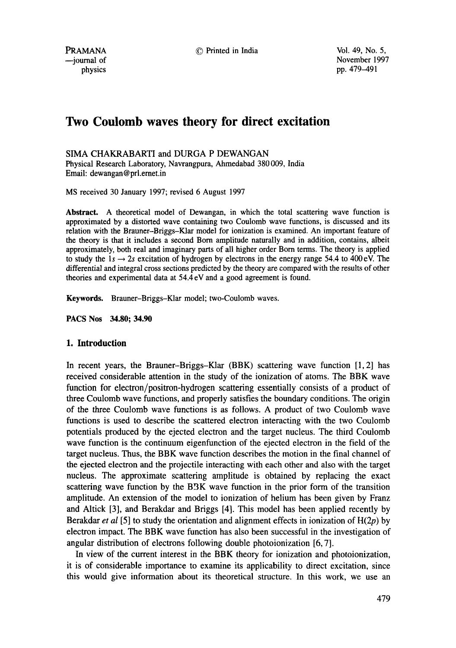PRAMANA --journal of physics

© Printed in India Vol. 49, No. **5,** 

November 1997 pp. 479-491

# **Two Coulomb waves theory for direct excitation**

SIMA CHAKRABARTI and DURGA P DEWANGAN Physical Research Laboratory, Navrangpura, Ahmedabad 380009, India Email: dewangan @prl.ernet.in

MS received 30 January 1997; revised 6 August 1997

**Abstract.** A theoretical model of Dewangan, in which the total scattering wave function is approximated by a distorted wave containing two Coulomb wave functions, is discussed and its relation with the Brauner-Briggs-Klar model for ionization is examined. An important feature of the theory is that it includes a second Born amplitude naturally and in addition, contains, albeit approximately, both real and imaginary parts of all higher order Born terms. The theory is applied to study the  $1s \rightarrow 2s$  excitation of hydrogen by electrons in the energy range 54.4 to 400 eV. The differential and integral cross sections predicted by the theory are compared with the results of other theories and experimental data at 54.4 eV and a good agreement is found.

**Keywords.** Brauner-Briggs-Klar model; two-Coulomb waves.

**PACS Nos 34.80; 34.90** 

## **1. Introduction**

In recent years, the Brauner-Briggs-Klar (BBK) scattering wave function [1,2] has received considerable attention in the study of the ionization of atoms. The BBK wave function for electron/positron-hydrogen scattering essentially consists of a product of three Coulomb wave functions, and properly satisfies the boundary conditions. The origin of the three Coulomb wave functions is as follows. A product of two Coulomb wave functions is used to describe the scattered electron interacting with the two Coulomb potentials produced by the ejected electron and the target nucleus. The third Coulomb wave function is the continuum eigenfunction of the ejected electron in the field of the target nucleus. Thus, the BBK wave function describes the motion in the final channel of the ejected electron and the projectile interacting with each other and also with the target nucleus. The approximate scattering amplitude is obtained by replacing the exact scattering wave function by the BBK wave function in the prior form of the transition amplitude. An extension of the model to ionization of helium has been given by Franz and Altick [3], and Berakdar and Briggs [4]. This model has been applied recently by Berakdar *et al* [5] to study the orientation and alignment effects in ionization of H(2p) by electron impact. The BBK wave function has also been successful in the investigation of angular distribution of electrons following double photoionization [6, 7].

In view of the current interest in the BBK theory for ionization and photoionization, it is of considerable importance to examine its applicability to direct excitation, since this would give information about its theoretical structure. In this work, we use an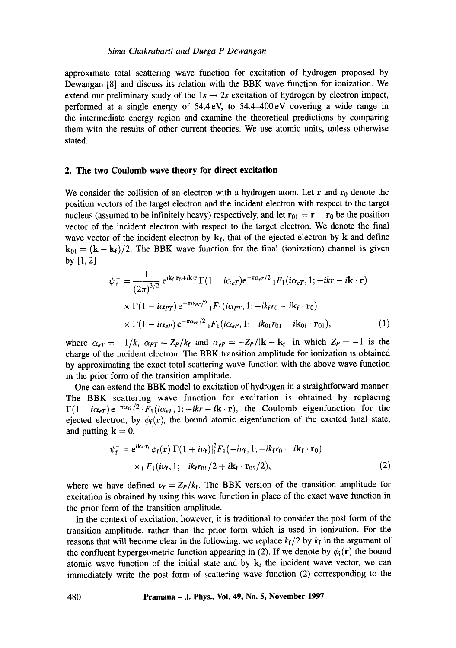approximate total scattering wave function for excitation of hydrogen proposed by Dewangan [8] and discuss its relation with the BBK wave function for ionization. We extend our preliminary study of the  $1s \rightarrow 2s$  excitation of hydrogen by electron impact, performed at a single energy of 54.4eV, to 54.4 400eV covering a wide range in the intermediate energy region and examine the theoretical predictions by comparing them with the results of other current theories. We use atomic units, unless otherwise stated.

#### **2. The two Coulomb wave theory for direct excitation**

We consider the collision of an electron with a hydrogen atom. Let r and  $r_0$  denote the position vectors of the target electron and the incident electron with respect to the target nucleus (assumed to be infinitely heavy) respectively, and let  $r_{01} = r - r_0$  be the position vector of the incident electron with respect to the target electron. We denote the final wave vector of the incident electron by  $k_f$ , that of the ejected electron by k and define  $k_{01} = (k - k_f)/2$ . The BBK wave function for the final (ionization) channel is given by [1, 2]

$$
\psi_f^- = \frac{1}{(2\pi)^{3/2}} e^{i\mathbf{k}_f \cdot \mathbf{r}_0 + i\mathbf{k} \cdot \mathbf{r}} \Gamma(1 - i\alpha_{eT}) e^{-\pi \alpha_{eT}/2} {}_1F_1(i\alpha_{eT}, 1; -i\mathbf{k} - i\mathbf{k} \cdot \mathbf{r})
$$
  
×  $\Gamma(1 - i\alpha_{PT}) e^{-\pi \alpha_{PT}/2} {}_1F_1(i\alpha_{PT}, 1; -i\mathbf{k}_f r_0 - i\mathbf{k}_f \cdot \mathbf{r}_0)$   
×  $\Gamma(1 - i\alpha_{eP}) e^{-\pi \alpha_{eP}/2} {}_1F_1(i\alpha_{eP}, 1; -i k_{01} r_{01} - i\mathbf{k}_{01} \cdot \mathbf{r}_{01}),$  (1)

where  $\alpha_{eT} = -1/k$ ,  $\alpha_{PT} = Z_P/k_f$  and  $\alpha_{eP} = -Z_P/|{\bf k} - {\bf k}_f|$  in which  $Z_P = -1$  is the charge of the incident electron. The BBK transition amplitude for ionization is obtained by approximating the exact total scattering wave function with the above wave function in the prior form of the transition amplitude.

One can extend the BBK model to excitation of hydrogen in a straightforward manner. The BBK scattering wave function for excitation is obtained by replacing  $\Gamma(1 - i\alpha_{eT})e^{-\pi\alpha_{eT}/2}$   $_1F_1(i\alpha_{eT}, 1; -ikr - ik \cdot r)$ , the Coulomb eigenfunction for the ejected electron, by  $\phi_f(\mathbf{r})$ , the bound atomic eigenfunction of the excited final state, and putting  $k = 0$ ,

$$
\psi_{\mathbf{f}}^{-} = e^{i\mathbf{k}_{\mathbf{f}} \cdot \mathbf{r}_{0}} \phi_{\mathbf{f}}(\mathbf{r}) |\Gamma(1 + i\nu_{\mathbf{f}})|_{1}^{2} F_{1}(-i\nu_{\mathbf{f}}, 1; -i k_{\mathbf{f}} r_{0} - i\mathbf{k}_{\mathbf{f}} \cdot \mathbf{r}_{0})
$$
  
×<sub>1</sub>  $F_{1}(i\nu_{\mathbf{f}}, 1; -i k_{\mathbf{f}} r_{01}/2 + i\mathbf{k}_{\mathbf{f}} \cdot \mathbf{r}_{01}/2),$  (2)

where we have defined  $u_f = Z_p/k_f$ . The BBK version of the transition amplitude for excitation is obtained by using this wave function in place of the exact wave function in the prior form of the transition amplitude.

In the context of excitation, however, it is traditional to consider the post form of the transition amplitude, rather than the prior form which is used in ionization. For the reasons that will become clear in the following, we replace  $k_f/2$  by  $k_f$  in the argument of the confluent hypergeometric function appearing in (2). If we denote by  $\phi_i(\mathbf{r})$  the bound atomic wave function of the initial state and by  $k_i$  the incident wave vector, we can immediately write the post form of scattering wave function (2) corresponding to the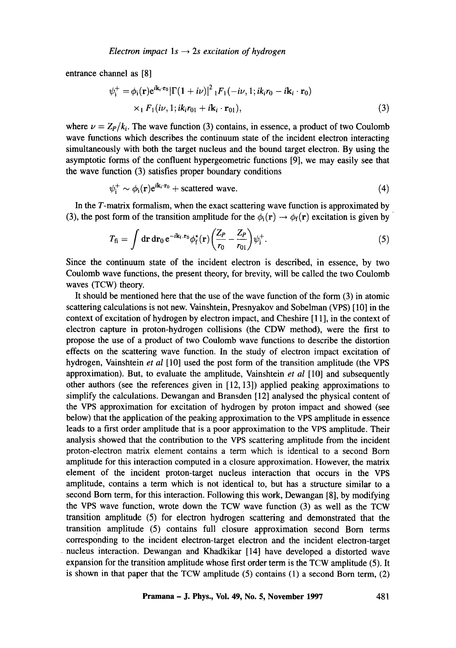entrance channel as [8]

$$
\psi_{i}^{+} = \phi_{i}(\mathbf{r}) e^{i\mathbf{k}_{i} \cdot \mathbf{r}_{0}} |\Gamma(1 + i\nu)|^{2} {}_{1}F_{1}(-i\nu, 1; ik_{i}r_{0} - i\mathbf{k}_{i} \cdot \mathbf{r}_{0})
$$
  
×<sub>1</sub>  $F_{1}(i\nu, 1; ik_{i}r_{01} + i\mathbf{k}_{i} \cdot \mathbf{r}_{01}),$  (3)

where  $\nu = Z_P/k_i$ . The wave function (3) contains, in essence, a product of two Coulomb wave functions which describes the continuum state of the incident electron interacting simultaneously with both the target nucleus and the bound target electron. By using the asymptotic forms of the confluent hypergeometric functions [9], we may easily see that the wave function (3) satisfies proper boundary conditions

$$
\psi_{i}^{+} \sim \phi_{i}(\mathbf{r}) e^{i\mathbf{k}_{i} \cdot \mathbf{r}_{0}} + \text{scattered wave.} \tag{4}
$$

In the T-matrix formalism, when the exact scattering wave function is approximated by (3), the post form of the transition amplitude for the  $\phi_i(\mathbf{r}) \rightarrow \phi_f(\mathbf{r})$  excitation is given by

$$
T_{\rm fi} = \int d\mathbf{r} \, d\mathbf{r}_0 \, e^{-i\mathbf{k}_{\rm f}.\mathbf{r}_0} \phi_{\rm f}^*(\mathbf{r}) \bigg( \frac{Z_P}{r_0} - \frac{Z_P}{r_{01}} \bigg) \psi_{\rm i}^+ \,. \tag{5}
$$

Since the continuum state of the incident electron is described, in essence, by two Coulomb wave functions, the present theory, for brevity, will be called the two Coulomb waves (TCW) theory.

It should be mentioned here that the use of the wave function of the form (3) in atomic scattering calculations is not new. Vainshtein, Presnyakov and Sobelman (VPS) [10] in the context of excitation of hydrogen by electron impact, and Cheshire [11 ], in the context of electron capture in proton-hydrogen collisions (the CDW method), were the first to propose the use of a product of two Coulomb wave functions to describe the distortion effects on the scattering wave function. In the study of electron impact excitation of hydrogen, Vainshtein *et al* [10] used the post form of the transition amplitude (the VPS approximation). But, to evaluate the amplitude, Vainshtein *et al* [10] and subsequently other authors (see the references given in [12, 13]) applied peaking approximations to simplify the calculations. Dewangan and Bransden [12] analysed the physical content of the VPS approximation for excitation of hydrogen by proton impact and showed (see below) that the application of the peaking approximation to the VPS amplitude in essence leads to a first order amplitude that is a poor approximation to the VPS amplitude. Their analysis showed that the contribution to the VPS scattering amplitude from the incident proton-electron matrix element contains a term which is identical to a second Born amplitude for this interaction computed in a closure approximation. However, the matrix element of the incident proton-target nucleus interaction that occurs in the VPS amplitude, contains a term which is not identical to, but has a structure similar to a second Born term, for this interaction. Following this work, Dewangan [8], by modifying the VPS wave function, wrote down the TCW wave function (3) as well as the TCW transition amplitude (5) for electron hydrogen scattering and demonstrated that the transition amplitude (5) contains full closure approximation second Born terms corresponding to the incident electron-target electron and the incident electron-target nucleus interaction. Dewangan and Khadkikar [14] have developed a distorted wave expansion for the transition amplitude whose first order term is the TCW amplitude (5). It is shown in that paper that the TCW amplitude  $(5)$  contains  $(1)$  a second Born term,  $(2)$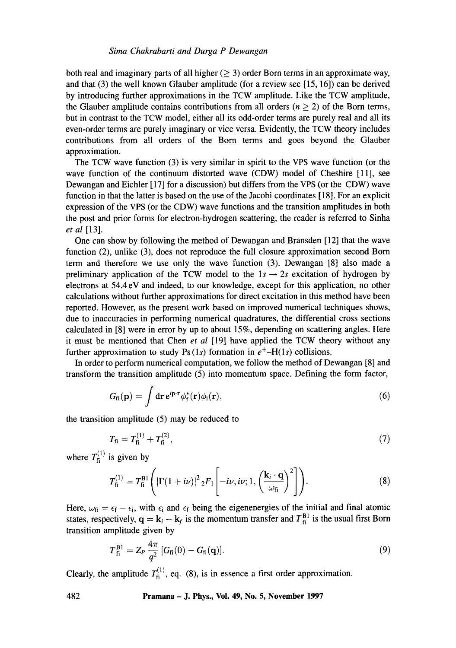both real and imaginary parts of all higher  $(\geq 3)$  order Born terms in an approximate way, and that (3) the well known Glauber amplitude (for a review see [15, 16]) can be derived by introducing further approximations in the TCW amplitude. Like the TCW amplitude, the Glauber amplitude contains contributions from all orders ( $n \geq 2$ ) of the Born terms, but in contrast to the TCW model, either all its odd-order terms are purely real and all its even-order terms are purely imaginary or vice versa. Evidently, the TCW theory includes contributions from all orders of the Born terms and goes beyond the Glauber approximation.

The TCW wave function (3) is very similar in spirit to the VPS wave function (or the wave function of the continuum distorted wave (CDW) model of Cheshire [11], see Dewangan and Eichler [17] for a discussion) but differs from the VPS (or the CDW) wave function in that the latter is based on the use of the Jacobi coordinates [18]. For an explicit expression of the VPS (or the CDW) wave functions and the transition amplitudes in both the post and prior forms for electron-hydrogen scattering, the reader is referred to Sinha *et al* [13].

One can show by following the method of Dewangan and Bransden [12] that the wave function (2), unlike (3), does not reproduce the full closure approximation second Born term and therefore we use only the wave function (3). Dewangan [8] also made a preliminary application of the TCW model to the  $1s \rightarrow 2s$  excitation of hydrogen by electrons at 54.4 eV and indeed, to our knowledge, except for this application, no other calculations without further approximations for direct excitation in this method have been reported. However, as the present work based on improved numerical techniques shows, due to inaccuracies in performing numerical quadratures, the differential cross sections calculated in [8] were in error by up to about 15%, depending on scattering angles. Here it must be mentioned that Chen *et al* [19] have applied the TCW theory without any further approximation to study Ps (1s) formation in  $e^+$ -H(1s) collisions.

In order to perform numerical computation, we follow the method of Dewangan [8] and transform the transition amplitude (5) into momentum space. Defining the form factor,

$$
G_{\rm fi}(\mathbf{p})=\int d\mathbf{r}\,e^{i\mathbf{p}\cdot\mathbf{r}}\phi_{\rm f}^*(\mathbf{r})\phi_{\rm i}(\mathbf{r}),\qquad(6)
$$

the transition amplitude (5) may be reduced to

$$
T_{\rm fi} = T_{\rm fi}^{(1)} + T_{\rm fi}^{(2)},\tag{7}
$$

where  $T_6^{(1)}$  is given by

$$
T_{\rm fi}^{(1)} = T_{\rm fi}^{\rm B1}\left(|\Gamma(1+i\nu)|^2{}_2F_1\left[-i\nu,i\nu;1,\left(\frac{\mathbf{k}_i\cdot\mathbf{q}}{\omega_{\rm fi}}\right)^2\right]\right).
$$
 (8)

Here,  $\omega_{fi} = \epsilon_f - \epsilon_i$ , with  $\epsilon_i$  and  $\epsilon_f$  being the eigenenergies of the initial and final atomic states, respectively,  $\mathbf{q} = \mathbf{k}_i - \mathbf{k}_f$  is the momentum transfer and  $T_{\text{fi}}^{\text{B1}}$  is the usual first Born transition amplitude given by

$$
T_{\rm fi}^{\rm Bl} = Z_P \frac{4\pi}{q^2} \left[ G_{\rm fi}(0) - G_{\rm fi}(\mathbf{q}) \right]. \tag{9}
$$

Clearly, the amplitude  $T_{\rm fi}^{(1)}$ , eq. (8), is in essence a first order approximation.

**482 Pramana - J. Phys., Vol. 49, No. 5, November 1997**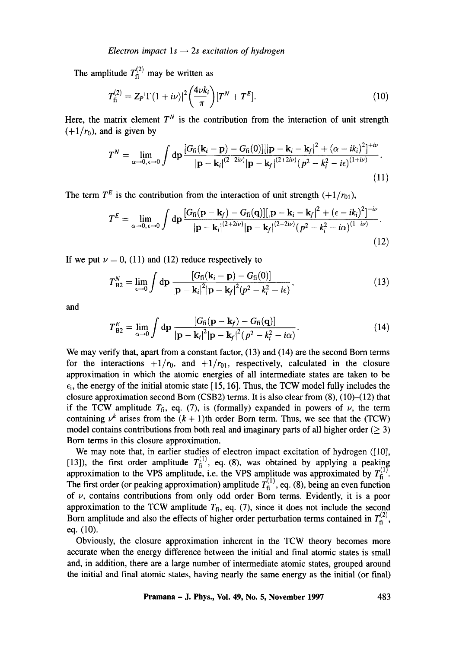*Electron impact*  $1s \rightarrow 2s$  *excitation of hydrogen* 

The amplitude  $T_{\rm fi}^{(2)}$  may be written as

$$
T_{\rm fi}^{(2)} = Z_P |\Gamma(1+i\nu)|^2 \left(\frac{4\nu k_i}{\pi}\right) [T^N + T^E]. \tag{10}
$$

Here, the matrix element  $T^N$  is the contribution from the interaction of unit strength  $(+1/r_0)$ , and is given by

$$
T^{N} = \lim_{\alpha \to 0, \epsilon \to 0} \int d\mathbf{p} \frac{\left[G_{\rm fi}(\mathbf{k}_{i} - \mathbf{p}) - G_{\rm fi}(0)\right] \left[|\mathbf{p} - \mathbf{k}_{i} - \mathbf{k}_{f}|^{2} + (\alpha - ik_{i})^{2}\right]^{+i\nu}}{|\mathbf{p} - \mathbf{k}_{i}|^{(2-2i\nu)} |\mathbf{p} - \mathbf{k}_{f}|^{(2+2i\nu)} (p^{2} - k_{i}^{2} - i\epsilon)^{(1+i\nu)}}.
$$
\n(11)

The term  $T^E$  is the contribution from the interaction of unit strength  $(+1/r_{01})$ ,

$$
T^{E} = \lim_{\alpha \to 0, \epsilon \to 0} \int d\mathbf{p} \frac{\left[G_{\rm fi}(\mathbf{p} - \mathbf{k}_{f}) - G_{\rm fi}(\mathbf{q})\right] \left(|\mathbf{p} - \mathbf{k}_{i} - \mathbf{k}_{f}|^{2} + (\epsilon - ik_{i})^{2}\right]^{-i\nu}}{\left|\mathbf{p} - \mathbf{k}_{i}\right|^{(2+2i\nu)} \left|\mathbf{p} - \mathbf{k}_{f}\right|^{(2-2i\nu)} \left(p^{2} - k_{i}^{2} - i\alpha\right)^{(1-i\nu)}}.
$$
\n(12)

If we put  $\nu = 0$ , (11) and (12) reduce respectively to

$$
T_{B2}^{N} = \lim_{\epsilon \to 0} \int dp \, \frac{[G_{\rm fi}({\bf k}_i - {\bf p}) - G_{\rm fi}(0)]}{|{\bf p} - {\bf k}_i|^2 |{\bf p} - {\bf k}_f|^2 (p^2 - k_i^2 - i\epsilon)},\tag{13}
$$

and

$$
T_{\mathrm{B2}}^{E} = \lim_{\alpha \to 0} \int d\mathbf{p} \, \frac{\left[G_{\mathrm{fi}}(\mathbf{p} - \mathbf{k}_{f}) - G_{\mathrm{fi}}(\mathbf{q})\right]}{\left|\mathbf{p} - \mathbf{k}_{i}\right|^{2}\left|\mathbf{p} - \mathbf{k}_{f}\right|^{2}\left(p^{2} - k_{i}^{2} - i\alpha\right)}.
$$
\n(14)

We may verify that, apart from a constant factor, (13) and (14) are the second Born terms for the interactions  $+1/r_0$ , and  $+1/r_{01}$ , respectively, calculated in the closure approximation in which the atomic energies of all intermediate states are taken to be  $\epsilon_i$ , the energy of the initial atomic state [15, 16]. Thus, the TCW model fully includes the closure approximation second Born (CSB2) terms. It is also clear from (8), (10)-(12) that if the TCW amplitude  $T_{\text{fi}}$ , eq. (7), is (formally) expanded in powers of  $\nu$ , the term containing  $\nu^k$  arises from the  $(k + 1)$ th order Born term. Thus, we see that the (TCW) model contains contributions from both real and imaginary parts of all higher order ( $\geq$  3) Born terms in this closure approximation.

We may note that, in earlier studies of electron impact excitation of hydrogen ([10], [13]), the first order amplitude  $T_{\text{f}}^{(1)}$ , eq. (8), was obtained by applying a peaking approximation to the VPS amplitude, i.e. the VPS amplitude was approximated by  $T_{\rm t}^{(1)}$ . The first order (or peaking approximation) amplitude  $T_{\rm n}^{(1)}$ , eq. (8), being an even function of  $\nu$ , contains contributions from only odd order Born terms. Evidently, it is a poor approximation to the TCW amplitude  $T_{fi}$ , eq. (7), since it does not include the second Born amplitude and also the effects of higher order perturbation terms contained in  $T_6^{(2)}$ , eq. (10).

Obviously, the closure approximation inherent in the TCW theory becomes more accurate when the energy difference between the initial and final atomic states is small and, in addition, there are a large number of intermediate atomic states, grouped around the initial and final atomic states, having nearly the same energy as the initial (or final)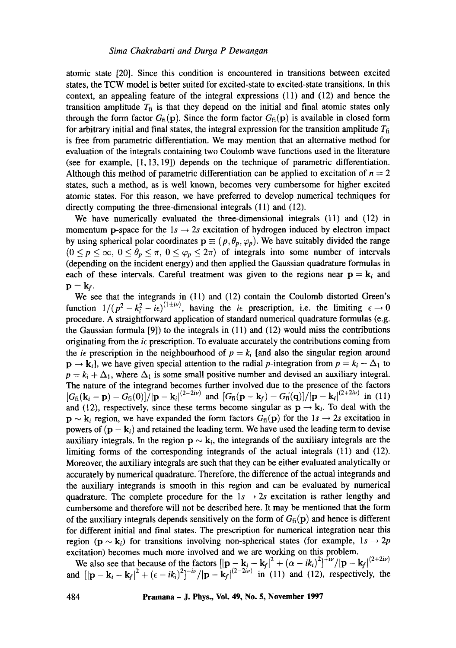atomic state [20]. Since this condition is encountered in transitions between excited states, the TCW model is better suited for excited-state to excited-state transitions. In this context, an appealing feature of the integral expressions (11) and (12) and hence the transition amplitude  $T_{fi}$  is that they depend on the initial and final atomic states only through the form factor  $G_f(p)$ . Since the form factor  $G_f(p)$  is available in closed form for arbitrary initial and final states, the integral expression for the transition amplitude  $T_6$ is free from parametric differentiation. We may mention that an alternative method for evaluation of the integrals containing two Coulomb wave functions used in the literature (see for example, [1, 13, 19]) depends on the technique of parametric differentiation. Although this method of parametric differentiation can be applied to excitation of  $n = 2$ states, such a method, as is well known, becomes very cumbersome for higher excited atomic states. For this reason, we have preferred to develop numerical techniques for directly computing the three-dimensional integrals (11) and (12).

We have numerically evaluated the three-dimensional integrals (11) and (12) in momentum p-space for the  $1s \rightarrow 2s$  excitation of hydrogen induced by electron impact by using spherical polar coordinates  $p \equiv (p, \theta_p, \varphi_p)$ . We have suitably divided the range  $(0 \leq p \leq \infty, 0 \leq \theta_p \leq \pi, 0 \leq \varphi_p \leq 2\pi)$  of integrals into some number of intervals (depending on the incident energy) and then applied the Gaussian quadrature formulas in each of these intervals. Careful treatment was given to the regions near  $p = k_i$  and  $\mathbf{p}=\mathbf{k}_f$ .

We see that the integrands in (11) and (12) contain the Coulomb distorted Green's function  $1/(p^2 - k_i^2 - i\epsilon)^{(1+i\nu)}$ , having the *i*e prescription, i.e. the limiting  $\epsilon \to 0$ procedure. A straightforward application of standard numerical quadrature formulas (e.g. the Gaussian formula  $[9]$  to the integrals in  $(11)$  and  $(12)$  would miss the contributions originating from the  $i\epsilon$  prescription. To evaluate accurately the contributions coming from the *i* $\epsilon$  prescription in the neighbourhood of  $p = k_i$  [and also the singular region around  $\mathbf{p} \rightarrow \mathbf{k}_i$ , we have given special attention to the radial p-integration from  $p = k_i - \Delta_1$  to  $p = k_i + \Delta_1$ , where  $\Delta_1$  is some small positive number and devised an auxiliary integral. The nature of the integrand becomes further involved due to the presence of the factors  $[G_{\rm fi}({\bf k}_i-{\bf p}) - G_{\rm fi}(0)]/|{\bf p} - {\bf k}_i|^{(2-2i\nu)}$  and  $[G_{\rm fi}({\bf p} - {\bf k}_f) - G_{\rm fi}({\bf q})]/|{\bf p} - {\bf k}_i|^{(2+2i\nu)}$  in (11) and (12), respectively, since these terms become singular as  $p \rightarrow k_i$ . To deal with the  $\mathbf{p} \sim \mathbf{k}_i$  region, we have expanded the form factors  $G_f(\mathbf{p})$  for the  $1s \to 2s$  excitation in powers of  $(p - k_i)$  and retained the leading term. We have used the leading term to devise auxiliary integrals. In the region  $p \sim k_i$ , the integrands of the auxiliary integrals are the limiting forms of the corresponding integrands of the actual integrals (11) and (12). Moreover, the auxiliary integrals are such that they can be either evaluated analytically or accurately by numerical quadrature. Therefore, the difference of the actual integrands and the auxiliary integrands is smooth in this region and can be evaluated by numerical quadrature. The complete procedure for the  $1s \rightarrow 2s$  excitation is rather lengthy and cumbersome and therefore will not be described here. It may be mentioned that the form of the auxiliary integrals depends sensitively on the form of  $G<sub>f</sub>(p)$  and hence is different for different initial and final states. The prescription for numerical integration near this region ( $p \sim k_i$ ) for transitions involving non-spherical states (for example,  $1s \rightarrow 2p$ excitation) becomes much more involved and we are working on this problem.

We also see that because of the factors  $\left[ |\mathbf{p} - \mathbf{k}_i - \mathbf{k}_f|^2 + (\alpha - ik_i)^2 \right]^{+i\nu} / |\mathbf{p} - \mathbf{k}_f|^{(2+2i\nu)}$ and  $\left[\left|\mathbf{p}-\mathbf{k}_i-\mathbf{k}_f\right|^2+\left(\epsilon-i k_i\right)^2\right]^{-i\nu}/\left|\mathbf{p}-\mathbf{k}_f\right|^{(2-2i\nu)}$  in (11) and (12), respectively, the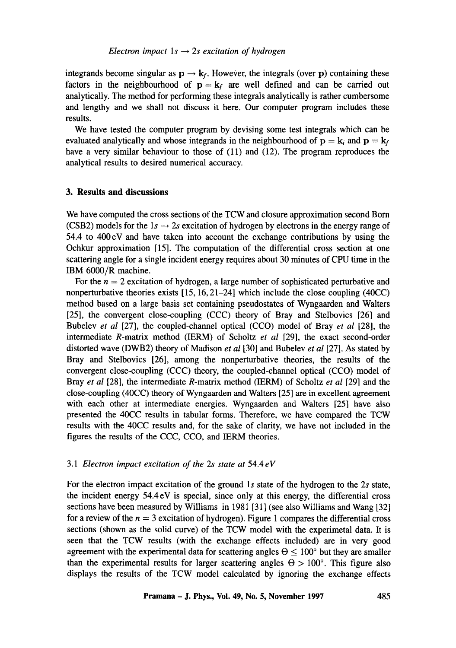integrands become singular as  $p \rightarrow k_f$ . However, the integrals (over p) containing these factors in the neighbourhood of  $p = k_f$  are well defined and can be carried out analytically. The method for performing these integrals analytically is rather cumbersome and lengthy and we shall not discuss it here. Our computer program includes these results.

We have tested the computer program by devising some test integrals which can be evaluated analytically and whose integrands in the neighbourhood of  $p = k_i$  and  $p = k_f$ have a very similar behaviour to those of (11) and (12). The program reproduces the analytical results to desired numerical accuracy.

#### **3. Results and discussions**

We have computed the cross sections of the TCW and closure approximation second Born (CSB2) models for the  $1s \rightarrow 2s$  excitation of hydrogen by electrons in the energy range of 54.4 to 400 eV and have taken into account the exchange contributions by using the Ochkur approximation [15]. The computation of the differential cross section at one scattering angle for a single incident energy requires about 30 minutes of CPU time in the IBM 6000/R machine.

For the  $n = 2$  excitation of hydrogen, a large number of sophisticated perturbative and nonperturbative theories exists [15, 16, 21-24] which include the close coupling (40CC) method based on a large basis set containing pseudostates of Wyngaarden and Waiters [25], the convergent close-coupling (CCC) theory of Bray and Stelbovics [26] and Bubelev *et al* [27], the coupled-channel optical (CCO) model of Bray *et al* [28], the intermediate R-matrix method (IERM) of Scholtz *et al* [29], the exact second-order distorted wave (DWB2) theory of Madison *et al* [30] and Bubelev *et al* [27]. As stated by Bray and Stelbovics [26], among the nonperturbative theories, the results of the convergent close-coupling (CCC) theory, the coupled-channel optical (CCO) model of Bray *et al* [28], the intermediate R-matrix method (IERM) of Scholtz *et al* [29] and the close-coupling (40CC) theory of Wyngaarden and Walters [25] are in excellent agreement with each other at intermediate energies. Wyngaarden and Walters [25] have also presented the 40CC results in tabular forms. Therefore, we have compared the TCW results with the 40CC results and, for the sake of clarity, we have not included in the figures the results of the CCC, CCO, and IERM theories.

#### *3.1 Electron impact excitation of the 2s state at* 54.4 *eV*

For the electron impact excitation of the ground 1s state of the hydrogen to the 2s state, the incident energy 54.4 eV is special, since only at this energy, the differential cross sections have been measured by Williams in 1981 [31] (see also Williams and Wang [32] for a review of the  $n = 3$  excitation of hydrogen). Figure 1 compares the differential cross sections (shown as the solid curve) of the TCW model with the experimetal data. It is seen that the TCW results (with the exchange effects included) are in very good agreement with the experimental data for scattering angles  $\Theta \leq 100^{\circ}$  but they are smaller than the experimental results for larger scattering angles  $\Theta > 100^{\circ}$ . This figure also displays the results of the TCW model calculated by ignoring the exchange effects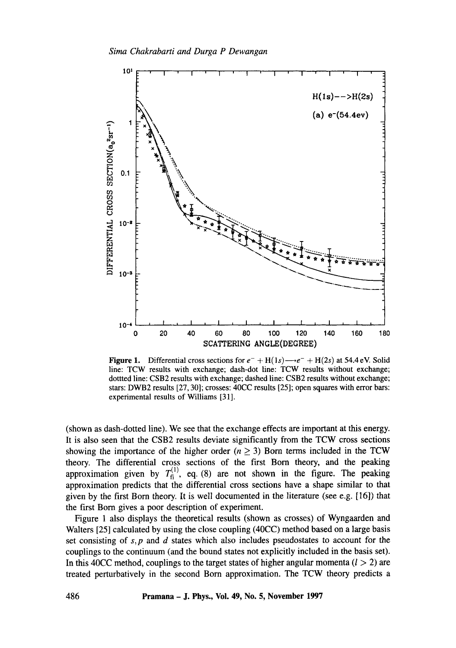

**Figure 1.** Differential cross sections for  $e^- + H(1s) \rightarrow e^- + H(2s)$  at 54.4 eV. Solid line: TCW results with exchange; dash-dot line: TCW results without exchange; dottted line: CSB2 results with exchange; dashed line: CSB2 results without exchange; stars: DWB2 results [27, 30]; crosses: 40CC results [25]; open squares with error bars: experimental results of Williams [31].

(shown as dash-dotted line). We see that the exchange effects are important at this energy. It is also seen that the CSB2 results deviate significantly from the TCW cross sections showing the importance of the higher order  $(n \geq 3)$  Born terms included in the TCW theory. The differential cross sections of the first Born theory, and the peaking approximation given by  $T_f^{(1)}$ , eq. (8) are not shown in the figure. The peaking approximation predicts that the differential cross sections have a shape similar to that given by the first Born theory. It is well documented in the literature (see e.g. [16]) that the first Born gives a poor description of experiment.

Figure 1 also displays the theoretical results (shown as crosses) of Wyngaarden and Waiters [25] calculated by using the close coupling (40CC) method based on a large basis set consisting of  $s, p$  and  $d$  states which also includes pseudostates to account for the couplings to the continuum (and the bound states not explicitly included in the basis set). In this 40CC method, couplings to the target states of higher angular momenta  $(l > 2)$  are treated perturbatively in the second Born approximation. The TCW theory predicts a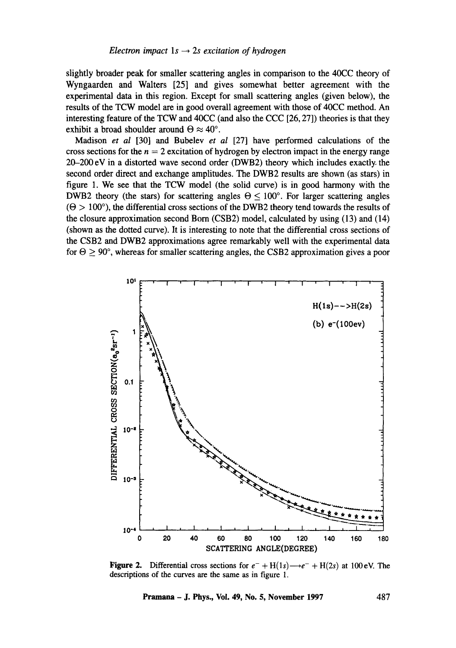slightly broader peak for smaller scattering angles in comparison to the 40CC theory of Wyngaarden and Walters [25] and gives somewhat better agreement with the experimental data in this region. Except for small scattering angles (given below), the results of the TCW model are in good overall agreement with those of 40CC method. An interesting feature of the TCW and 40CC (and also the CCC [26, 27]) theories is that they exhibit a broad shoulder around  $\Theta \approx 40^{\circ}$ .

Madison *et al* [30] and Bubelev *et al* [27] have performed calculations of the cross sections for the  $n = 2$  excitation of hydrogen by electron impact in the energy range 20-200 eV in a distorted wave second order (DWB2) theory which includes exactly, the second order direct and exchange amplitudes. The DWB2 results are shown (as stars) in figure 1. We see that the TCW model (the solid curve) is in good harmony with the DWB2 theory (the stars) for scattering angles  $\Theta \le 100^{\circ}$ . For larger scattering angles  $(\Theta > 100^{\circ})$ , the differential cross sections of the DWB2 theory tend towards the results of the closure approximation second Born (CSB2) model, calculated by using (13) and (14) (shown as the dotted curve). It is interesting to note that the differential cross sections of the CSB2 and DWB2 approximations agree remarkably well with the experimental data for  $\Theta \ge 90^\circ$ , whereas for smaller scattering angles, the CSB2 approximation gives a poor



**Figure 2.** Differential cross sections for  $e^- + H(1s) \rightarrow e^- + H(2s)$  at 100 eV. The descriptions of the curves are the same as in figure 1.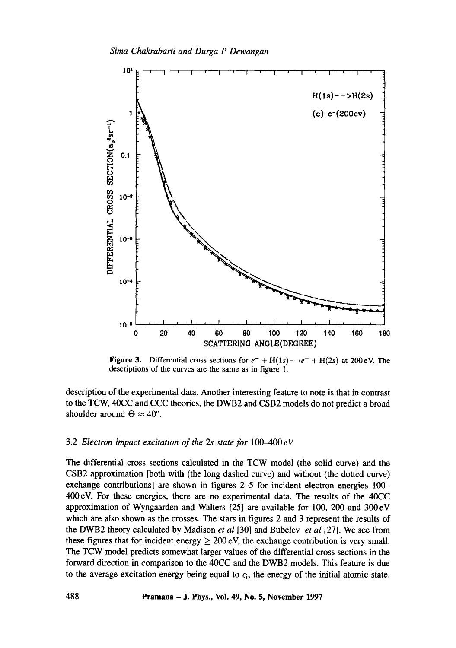

**Figure 3.** Differential cross sections for  $e^- + H(1s) \rightarrow e^- + H(2s)$  at 200 eV. The descriptions of the curves are the same as in figure 1.

description of the experimental data. Another interesting feature to note is that in contrast to the TCW, 40CC and CCC theories, the DWB2 and CSB2 models do not predict a broad shoulder around  $\Theta \approx 40^{\circ}$ .

## 3.2 *Electron impact excitation of the 2s state for 100-400 eV*

The differential cross sections calculated in the TCW model (the solid curve) and the CSB2 approximation [both with (the long dashed curve) and without (the dotted curve) exchange contributions] are shown in figures 2-5 for incident electron energies 100- 400 eV. For these energies, there are no experimental data. The results of the 40CC approximation of Wyngaarden and Waiters [25] are available for 100, 200 and 300eV which are also shown as the crosses. The stars in figures 2 and 3 represent the results of the DWB2 theory calculated by Madison *et al* [30] and Bubelev *et al* [27]. We see from these figures that for incident energy  $\geq 200$  eV, the exchange contribution is very small. The TCW model predicts somewhat larger values of the differential cross sections in the forward direction in comparison to the 40CC and the DWB2 models. This feature is due to the average excitation energy being equal to  $\epsilon_i$ , the energy of the initial atomic state.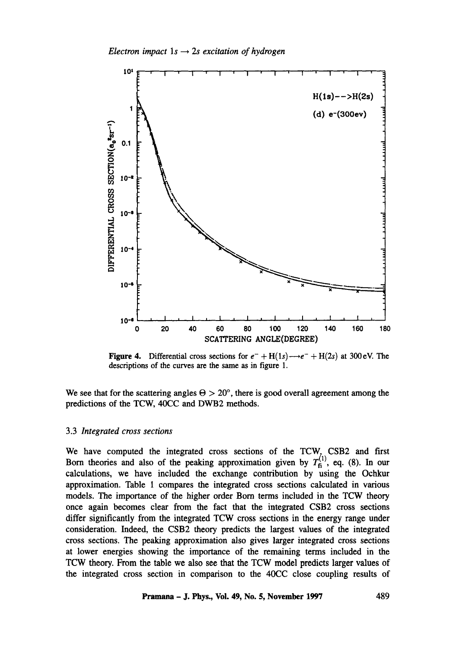

**Figure 4.** Differential cross sections for  $e^- + H(1s) \rightarrow e^- + H(2s)$  at 300 eV. The descriptions of the curves are the same as in figure 1.

We see that for the scattering angles  $\Theta > 20^{\circ}$ , there is good overall agreement among the predictions of the TCW, 40CC and DWB2 methods.

#### 3.3 *Integrated cross sections*

We have computed the integrated cross sections of the  $TCW$ ,  $CSB2$  and first Born theories and also of the peaking approximation given by  $T_6^{(1)}$ , eq. (8). In our calculations, we have included the exchange contribution by using the Ochkur approximation. Table i compares the integrated cross sections calculated in various models. The importance of the higher order Born terms included in the TCW theory once again becomes clear from the fact that the integrated CSB2 cross sections differ significantly from the integrated TCW cross sections in the energy range under consideration. Indeed, the CSB2 theory predicts the largest values of the integrated cross sections. The peaking approximation also gives larger integrated cross sections at lower energies showing the importance of the remaining terms included in the TCW theory. From the table we also see that the TCW model predicts larger values of the integrated cross section in comparison to the 40CC close coupling results of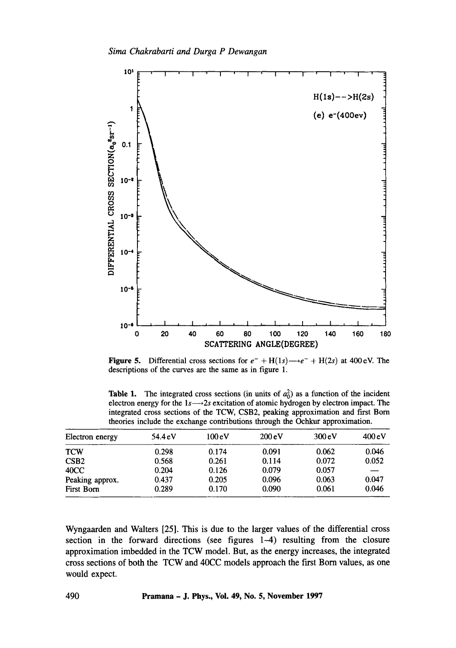

**Figure 5.** Differential cross sections for  $e^- + H(1s) \rightarrow e^- + H(2s)$  at 400 eV. The descriptions of the curves are the same as in figure 1.

**Table 1.** The integrated cross sections (in units of  $a_0^2$ ) as a function of the incident electron energy for the  $1s \rightarrow 2s$  excitation of atomic hydrogen by electron impact. The integrated cross sections of the TCW, CSB2, peaking approximation and first Born theories include the exchange contributions through the Ochkur approximation.

| Electron energy  | 54.4 eV | 100eV | 200eV | 300 eV | 400eV |
|------------------|---------|-------|-------|--------|-------|
| <b>TCW</b>       | 0.298   | 0.174 | 0.091 | 0.062  | 0.046 |
| CSB <sub>2</sub> | 0.568   | 0.261 | 0.114 | 0.072  | 0.052 |
| 40CC             | 0.204   | 0.126 | 0.079 | 0.057  |       |
| Peaking approx.  | 0.437   | 0.205 | 0.096 | 0.063  | 0.047 |
| First Born       | 0.289   | 0.170 | 0.090 | 0.061  | 0.046 |
|                  |         |       |       |        |       |

Wyngaarden and Waiters [25]. This is due to the larger values of the differential cross section in the forward directions (see figures  $1-4$ ) resulting from the closure approximation imbedded in the TCW model. But, as the energy increases, the integrated cross sections of both the TCW and 40CC models approach the first Born values, as one would expect.